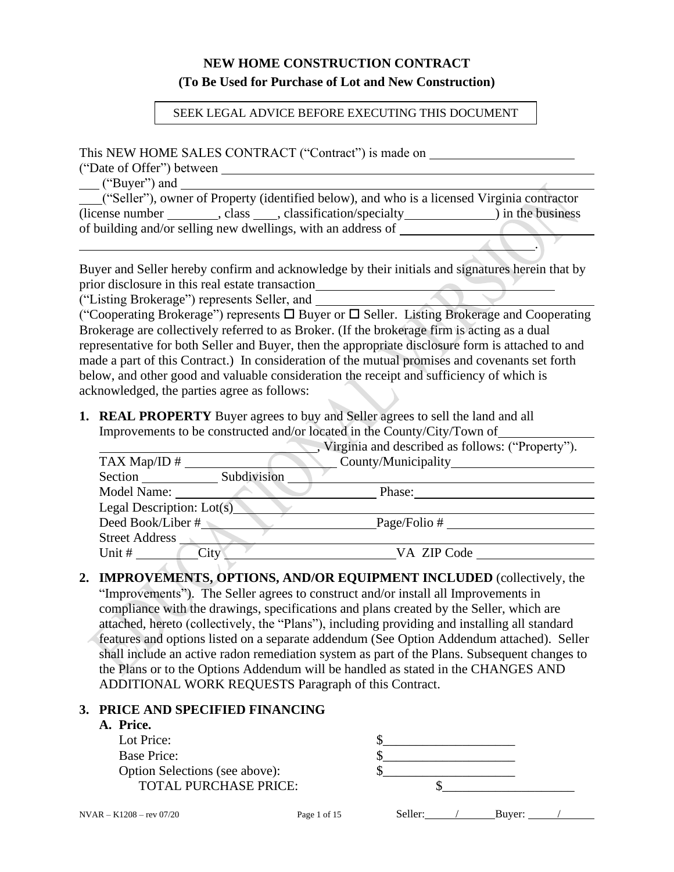# **NEW HOME CONSTRUCTION CONTRACT (To Be Used for Purchase of Lot and New Construction)**

#### SEEK LEGAL ADVICE BEFORE EXECUTING THIS DOCUMENT

#### This NEW HOME SALES CONTRACT ("Contract") is made on

("Date of Offer") between

("Buyer") and

("Seller"), owner of Property (identified below), and who is a licensed Virginia contractor (license number \_\_\_\_\_\_\_\_\_\_, class \_\_\_\_\_, classification/specialty \_\_\_\_\_\_\_\_\_\_\_\_\_\_\_) in the business of building and/or selling new dwellings, with an address of

.

Buyer and Seller hereby confirm and acknowledge by their initials and signatures herein that by prior disclosure in this real estate transaction

("Listing Brokerage") represents Seller, and

("Cooperating Brokerage") represents  $\Box$  Buyer or  $\Box$  Seller. Listing Brokerage and Cooperating Brokerage are collectively referred to as Broker. (If the brokerage firm is acting as a dual representative for both Seller and Buyer, then the appropriate disclosure form is attached to and made a part of this Contract.) In consideration of the mutual promises and covenants set forth below, and other good and valuable consideration the receipt and sufficiency of which is acknowledged, the parties agree as follows:

**1. REAL PROPERTY** Buyer agrees to buy and Seller agrees to sell the land and all Improvements to be constructed and/or located in the County/City/Town of

|                             | Virginia and described as follows: ("Property"). |
|-----------------------------|--------------------------------------------------|
| TAX Map/ID $#$              |                                                  |
| Subdivision<br>Section      |                                                  |
| Model Name:                 | Phase:                                           |
| Legal Description: $Lot(s)$ |                                                  |
| Deed Book/Liber #           | Page/Folio #                                     |
| <b>Street Address</b>       |                                                  |
| Unit #<br>City              | VA ZIP Code                                      |

**2. IMPROVEMENTS, OPTIONS, AND/OR EQUIPMENT INCLUDED** (collectively, the "Improvements"). The Seller agrees to construct and/or install all Improvements in compliance with the drawings, specifications and plans created by the Seller, which are attached, hereto (collectively, the "Plans"), including providing and installing all standard features and options listed on a separate addendum (See Option Addendum attached). Seller shall include an active radon remediation system as part of the Plans. Subsequent changes to the Plans or to the Options Addendum will be handled as stated in the CHANGES AND ADDITIONAL WORK REQUESTS Paragraph of this Contract.

## **3. PRICE AND SPECIFIED FINANCING**

#### **A. Price.**

| Lot Price:                     |  |
|--------------------------------|--|
| <b>Base Price:</b>             |  |
| Option Selections (see above): |  |
| <b>TOTAL PURCHASE PRICE:</b>   |  |
|                                |  |
|                                |  |

 $NVAR - K1208 - rev 07/20$  Page 1 of 15 Seller: / Buyer: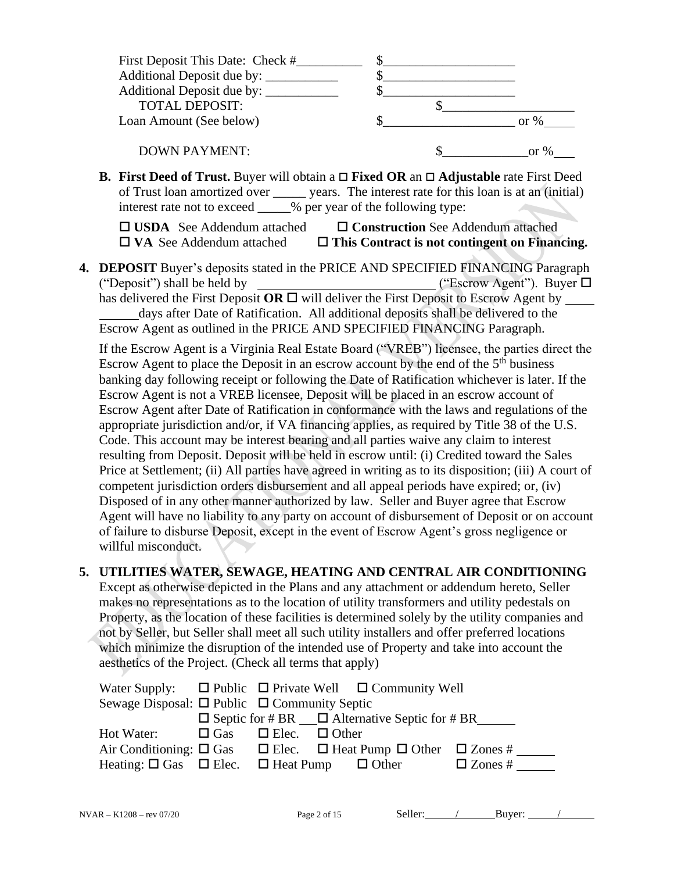| First Deposit This Date: Check # |  |         |
|----------------------------------|--|---------|
|                                  |  |         |
|                                  |  |         |
| <b>TOTAL DEPOSIT:</b>            |  |         |
| Loan Amount (See below)          |  | or $\%$ |
| <b>DOWN PAYMENT:</b>             |  | or $\%$ |

**B. First Deed of Trust.** Buyer will obtain a **Fixed OR** an **Adjustable** rate First Deed of Trust loan amortized over \_\_\_\_\_ years. The interest rate for this loan is at an (initial) interest rate not to exceed  $\frac{1}{2}$  % per year of the following type:

| $\Box$ USDA See Addendum attached | □ Construction See Addendum attached                 |
|-----------------------------------|------------------------------------------------------|
| $\Box$ VA See Addendum attached   | $\Box$ This Contract is not contingent on Financing. |

**4. DEPOSIT** Buyer's deposits stated in the PRICE AND SPECIFIED FINANCING Paragraph ("Deposit") shall be held by  $\qquad \qquad$  ("Escrow Agent"). Buyer  $\Box$ has delivered the First Deposit  $\overline{OR} \square$  will deliver the First Deposit to Escrow Agent by \_\_\_\_\_\_ days after Date of Ratification. All additional deposits shall be delivered to the Escrow Agent as outlined in the PRICE AND SPECIFIED FINANCING Paragraph.

If the Escrow Agent is a Virginia Real Estate Board ("VREB") licensee, the parties direct the Escrow Agent to place the Deposit in an escrow account by the end of the  $5<sup>th</sup>$  business banking day following receipt or following the Date of Ratification whichever is later. If the Escrow Agent is not a VREB licensee, Deposit will be placed in an escrow account of Escrow Agent after Date of Ratification in conformance with the laws and regulations of the appropriate jurisdiction and/or, if VA financing applies, as required by Title 38 of the U.S. Code. This account may be interest bearing and all parties waive any claim to interest resulting from Deposit. Deposit will be held in escrow until: (i) Credited toward the Sales Price at Settlement; (ii) All parties have agreed in writing as to its disposition; (iii) A court of competent jurisdiction orders disbursement and all appeal periods have expired; or, (iv) Disposed of in any other manner authorized by law. Seller and Buyer agree that Escrow Agent will have no liability to any party on account of disbursement of Deposit or on account of failure to disburse Deposit, except in the event of Escrow Agent's gross negligence or willful misconduct.

# **5. UTILITIES WATER, SEWAGE, HEATING AND CENTRAL AIR CONDITIONING**

Except as otherwise depicted in the Plans and any attachment or addendum hereto, Seller makes no representations as to the location of utility transformers and utility pedestals on Property, as the location of these facilities is determined solely by the utility companies and not by Seller, but Seller shall meet all such utility installers and offer preferred locations which minimize the disruption of the intended use of Property and take into account the aesthetics of the Project. (Check all terms that apply)

| Water Supply: $\Box$ Public $\Box$ Private Well $\Box$ Community Well                                 |                                      |                                                           |                |  |
|-------------------------------------------------------------------------------------------------------|--------------------------------------|-----------------------------------------------------------|----------------|--|
| Sewage Disposal: $\Box$ Public $\Box$ Community Septic                                                |                                      |                                                           |                |  |
|                                                                                                       |                                      | $\Box$ Septic for # BR $\Box$ Alternative Septic for # BR |                |  |
| Hot Water:                                                                                            | $\Box$ Gas $\Box$ Elec. $\Box$ Other |                                                           |                |  |
| Air Conditioning: $\square$ Gas $\square$ Elec. $\square$ Heat Pump $\square$ Other $\square$ Zones # |                                      |                                                           |                |  |
| Heating: $\Box$ Gas $\Box$ Elec. $\Box$ Heat Pump $\Box$ Other                                        |                                      |                                                           | $\Box$ Zones # |  |

| Seller<br>$\sim$ $\sim$ | Buver: |  |
|-------------------------|--------|--|
|                         |        |  |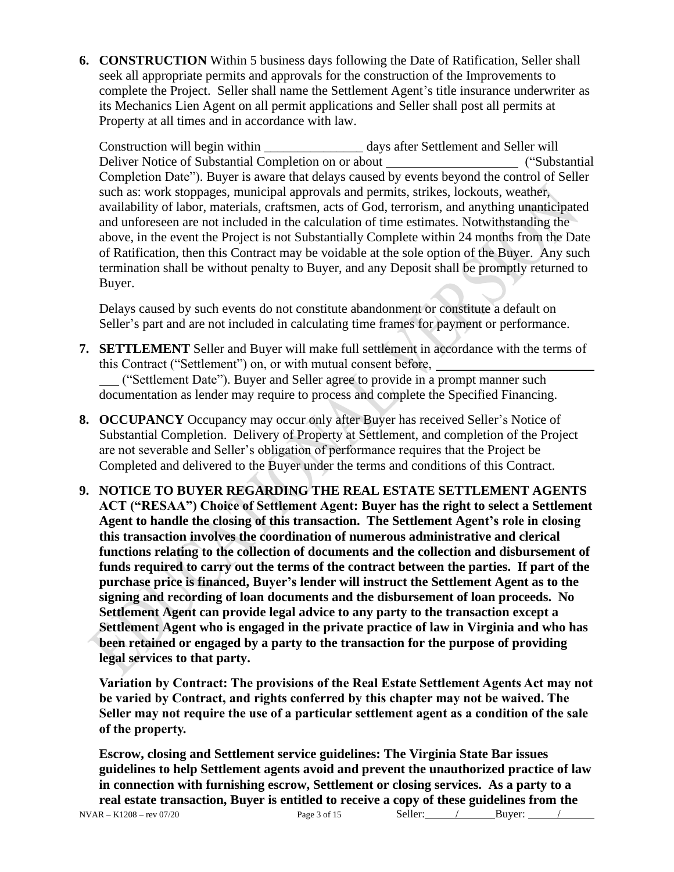**6. CONSTRUCTION** Within 5 business days following the Date of Ratification, Seller shall seek all appropriate permits and approvals for the construction of the Improvements to complete the Project. Seller shall name the Settlement Agent's title insurance underwriter as its Mechanics Lien Agent on all permit applications and Seller shall post all permits at Property at all times and in accordance with law.

Construction will begin within \_\_\_\_\_\_\_\_\_\_\_\_\_\_\_ days after Settlement and Seller will Deliver Notice of Substantial Completion on or about ("Substantial Completion Date"). Buyer is aware that delays caused by events beyond the control of Seller such as: work stoppages, municipal approvals and permits, strikes, lockouts, weather, availability of labor, materials, craftsmen, acts of God, terrorism, and anything unanticipated and unforeseen are not included in the calculation of time estimates. Notwithstanding the above, in the event the Project is not Substantially Complete within 24 months from the Date of Ratification, then this Contract may be voidable at the sole option of the Buyer. Any such termination shall be without penalty to Buyer, and any Deposit shall be promptly returned to Buyer.

Delays caused by such events do not constitute abandonment or constitute a default on Seller's part and are not included in calculating time frames for payment or performance.

- **7. SETTLEMENT** Seller and Buyer will make full settlement in accordance with the terms of this Contract ("Settlement") on, or with mutual consent before, ("Settlement Date"). Buyer and Seller agree to provide in a prompt manner such documentation as lender may require to process and complete the Specified Financing.
- **8. OCCUPANCY** Occupancy may occur only after Buyer has received Seller's Notice of Substantial Completion. Delivery of Property at Settlement, and completion of the Project are not severable and Seller's obligation of performance requires that the Project be Completed and delivered to the Buyer under the terms and conditions of this Contract.
- **9. NOTICE TO BUYER REGARDING THE REAL ESTATE SETTLEMENT AGENTS ACT ("RESAA") Choice of Settlement Agent: Buyer has the right to select a Settlement Agent to handle the closing of this transaction. The Settlement Agent's role in closing this transaction involves the coordination of numerous administrative and clerical functions relating to the collection of documents and the collection and disbursement of funds required to carry out the terms of the contract between the parties. If part of the purchase price is financed, Buyer's lender will instruct the Settlement Agent as to the signing and recording of loan documents and the disbursement of loan proceeds. No Settlement Agent can provide legal advice to any party to the transaction except a Settlement Agent who is engaged in the private practice of law in Virginia and who has been retained or engaged by a party to the transaction for the purpose of providing legal services to that party.**

**Variation by Contract: The provisions of the Real Estate Settlement Agents Act may not be varied by Contract, and rights conferred by this chapter may not be waived. The Seller may not require the use of a particular settlement agent as a condition of the sale of the property.** 

**Escrow, closing and Settlement service guidelines: The Virginia State Bar issues guidelines to help Settlement agents avoid and prevent the unauthorized practice of law in connection with furnishing escrow, Settlement or closing services. As a party to a real estate transaction, Buyer is entitled to receive a copy of these guidelines from the**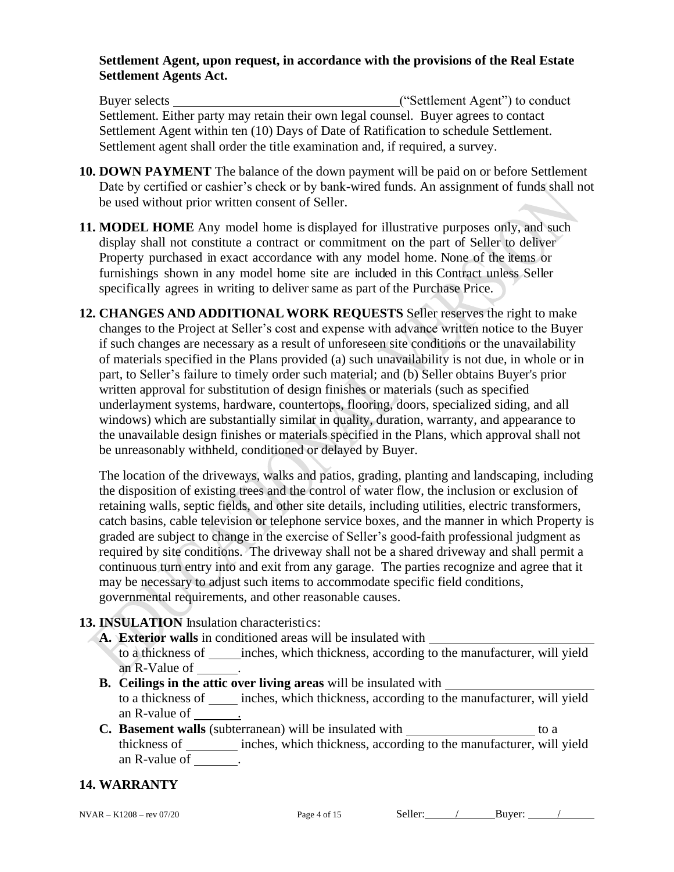### **Settlement Agent, upon request, in accordance with the provisions of the Real Estate Settlement Agents Act.**

Buyer selects ("Settlement Agent") to conduct Settlement. Either party may retain their own legal counsel. Buyer agrees to contact Settlement Agent within ten (10) Days of Date of Ratification to schedule Settlement. Settlement agent shall order the title examination and, if required, a survey.

- **10. DOWN PAYMENT** The balance of the down payment will be paid on or before Settlement Date by certified or cashier's check or by bank-wired funds. An assignment of funds shall not be used without prior written consent of Seller.
- **11. MODEL HOME** Any model home is displayed for illustrative purposes only, and such display shall not constitute a contract or commitment on the part of Seller to deliver Property purchased in exact accordance with any model home. None of the items or furnishings shown in any model home site are included in this Contract unless Seller specifically agrees in writing to deliver same as part of the Purchase Price.
- **12. CHANGES AND ADDITIONALWORK REQUESTS** Seller reserves the right to make changes to the Project at Seller's cost and expense with advance written notice to the Buyer if such changes are necessary as a result of unforeseen site conditions or the unavailability of materials specified in the Plans provided (a) such unavailability is not due, in whole or in part, to Seller's failure to timely order such material; and (b) Seller obtains Buyer's prior written approval for substitution of design finishes or materials (such as specified underlayment systems, hardware, countertops, flooring, doors, specialized siding, and all windows) which are substantially similar in quality, duration, warranty, and appearance to the unavailable design finishes or materials specified in the Plans, which approval shall not be unreasonably withheld, conditioned or delayed by Buyer.

The location of the driveways, walks and patios, grading, planting and landscaping, including the disposition of existing trees and the control of water flow, the inclusion or exclusion of retaining walls, septic fields, and other site details, including utilities, electric transformers, catch basins, cable television or telephone service boxes, and the manner in which Property is graded are subject to change in the exercise of Seller's good-faith professional judgment as required by site conditions. The driveway shall not be a shared driveway and shall permit a continuous turn entry into and exit from any garage. The parties recognize and agree that it may be necessary to adjust such items to accommodate specific field conditions, governmental requirements, and other reasonable causes.

## **13. INSULATION** Insulation characteristics:

- **A. Exterior walls** in conditioned areas will be insulated with
	- to a thickness of inches, which thickness, according to the manufacturer, will yield an R-Value of .
- **B. Ceilings in the attic over living areas** will be insulated with to a thickness of inches, which thickness, according to the manufacturer, will yield an R-value of .
- **C. Basement walls** (subterranean) will be insulated with to a thickness of inches, which thickness, according to the manufacturer, will yield an R-value of \_\_\_\_\_\_\_.

## **14. WARRANTY**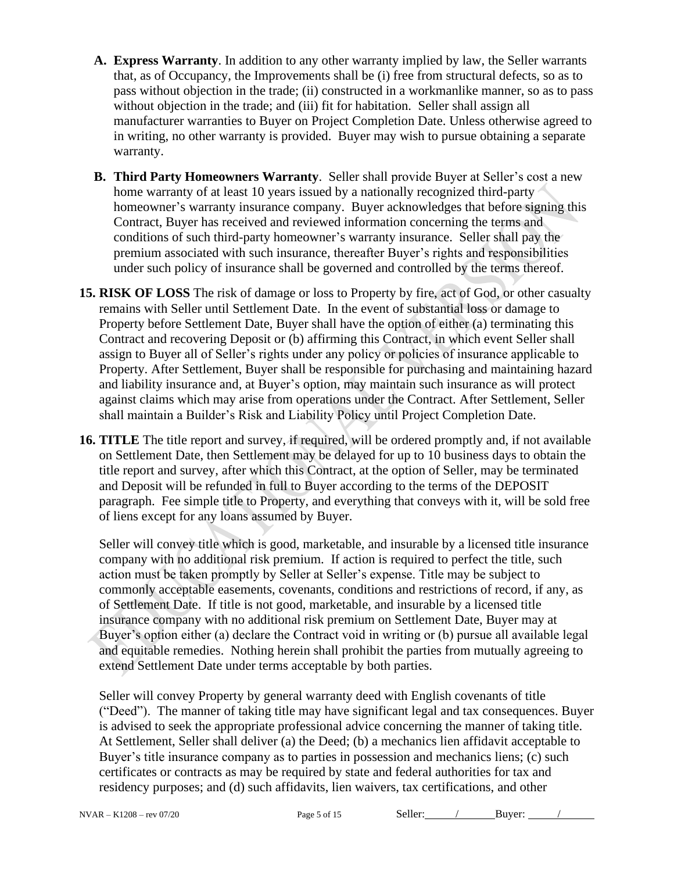- **A. Express Warranty**. In addition to any other warranty implied by law, the Seller warrants that, as of Occupancy, the Improvements shall be (i) free from structural defects, so as to pass without objection in the trade; (ii) constructed in a workmanlike manner, so as to pass without objection in the trade; and (iii) fit for habitation. Seller shall assign all manufacturer warranties to Buyer on Project Completion Date. Unless otherwise agreed to in writing, no other warranty is provided. Buyer may wish to pursue obtaining a separate warranty.
- **B. Third Party Homeowners Warranty**. Seller shall provide Buyer at Seller's cost a new home warranty of at least 10 years issued by a nationally recognized third-party homeowner's warranty insurance company. Buyer acknowledges that before signing this Contract, Buyer has received and reviewed information concerning the terms and conditions of such third-party homeowner's warranty insurance. Seller shall pay the premium associated with such insurance, thereafter Buyer's rights and responsibilities under such policy of insurance shall be governed and controlled by the terms thereof.
- **15. RISK OF LOSS** The risk of damage or loss to Property by fire, act of God, or other casualty remains with Seller until Settlement Date. In the event of substantial loss or damage to Property before Settlement Date, Buyer shall have the option of either (a) terminating this Contract and recovering Deposit or (b) affirming this Contract, in which event Seller shall assign to Buyer all of Seller's rights under any policy or policies of insurance applicable to Property. After Settlement, Buyer shall be responsible for purchasing and maintaining hazard and liability insurance and, at Buyer's option, may maintain such insurance as will protect against claims which may arise from operations under the Contract. After Settlement, Seller shall maintain a Builder's Risk and Liability Policy until Project Completion Date.
- **16. TITLE** The title report and survey, if required, will be ordered promptly and, if not available on Settlement Date, then Settlement may be delayed for up to 10 business days to obtain the title report and survey, after which this Contract, at the option of Seller, may be terminated and Deposit will be refunded in full to Buyer according to the terms of the DEPOSIT paragraph. Fee simple title to Property, and everything that conveys with it, will be sold free of liens except for any loans assumed by Buyer.

Seller will convey title which is good, marketable, and insurable by a licensed title insurance company with no additional risk premium. If action is required to perfect the title, such action must be taken promptly by Seller at Seller's expense. Title may be subject to commonly acceptable easements, covenants, conditions and restrictions of record, if any, as of Settlement Date. If title is not good, marketable, and insurable by a licensed title insurance company with no additional risk premium on Settlement Date, Buyer may at Buyer's option either (a) declare the Contract void in writing or (b) pursue all available legal and equitable remedies. Nothing herein shall prohibit the parties from mutually agreeing to extend Settlement Date under terms acceptable by both parties.

Seller will convey Property by general warranty deed with English covenants of title ("Deed").The manner of taking title may have significant legal and tax consequences. Buyer is advised to seek the appropriate professional advice concerning the manner of taking title. At Settlement, Seller shall deliver (a) the Deed; (b) a mechanics lien affidavit acceptable to Buyer's title insurance company as to parties in possession and mechanics liens; (c) such certificates or contracts as may be required by state and federal authorities for tax and residency purposes; and (d) such affidavits, lien waivers, tax certifications, and other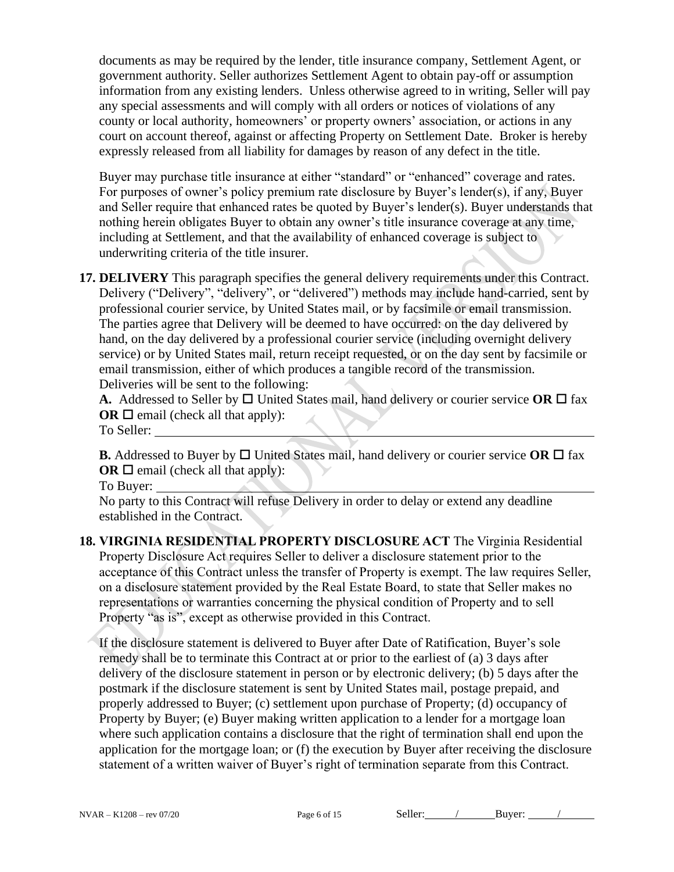documents as may be required by the lender, title insurance company, Settlement Agent, or government authority. Seller authorizes Settlement Agent to obtain pay-off or assumption information from any existing lenders. Unless otherwise agreed to in writing, Seller will pay any special assessments and will comply with all orders or notices of violations of any county or local authority, homeowners' or property owners' association, or actions in any court on account thereof, against or affecting Property on Settlement Date. Broker is hereby expressly released from all liability for damages by reason of any defect in the title.

Buyer may purchase title insurance at either "standard" or "enhanced" coverage and rates. For purposes of owner's policy premium rate disclosure by Buyer's lender(s), if any, Buyer and Seller require that enhanced rates be quoted by Buyer's lender(s). Buyer understands that nothing herein obligates Buyer to obtain any owner's title insurance coverage at any time, including at Settlement, and that the availability of enhanced coverage is subject to underwriting criteria of the title insurer.

**17. DELIVERY** This paragraph specifies the general delivery requirements under this Contract. Delivery ("Delivery", "delivery", or "delivered") methods may include hand-carried, sent by professional courier service, by United States mail, or by facsimile or email transmission. The parties agree that Delivery will be deemed to have occurred: on the day delivered by hand, on the day delivered by a professional courier service (including overnight delivery service) or by United States mail, return receipt requested, or on the day sent by facsimile or email transmission, either of which produces a tangible record of the transmission. Deliveries will be sent to the following:

**A.** Addressed to Seller by  $\Box$  United States mail, hand delivery or courier service OR  $\Box$  fax **OR**  $\Box$  email (check all that apply):

To Seller:

**B.** Addressed to Buyer by  $\Box$  United States mail, hand delivery or courier service OR  $\Box$  fax **OR**  $\Box$  email (check all that apply):

To Buyer:

No party to this Contract will refuse Delivery in order to delay or extend any deadline established in the Contract.

**18. VIRGINIA RESIDENTIAL PROPERTY DISCLOSURE ACT** The Virginia Residential Property Disclosure Act requires Seller to deliver a disclosure statement prior to the acceptance of this Contract unless the transfer of Property is exempt. The law requires Seller, on a disclosure statement provided by the Real Estate Board, to state that Seller makes no representations or warranties concerning the physical condition of Property and to sell Property "as is", except as otherwise provided in this Contract.

If the disclosure statement is delivered to Buyer after Date of Ratification, Buyer's sole remedy shall be to terminate this Contract at or prior to the earliest of (a) 3 days after delivery of the disclosure statement in person or by electronic delivery; (b) 5 days after the postmark if the disclosure statement is sent by United States mail, postage prepaid, and properly addressed to Buyer; (c) settlement upon purchase of Property; (d) occupancy of Property by Buyer; (e) Buyer making written application to a lender for a mortgage loan where such application contains a disclosure that the right of termination shall end upon the application for the mortgage loan; or (f) the execution by Buyer after receiving the disclosure statement of a written waiver of Buyer's right of termination separate from this Contract.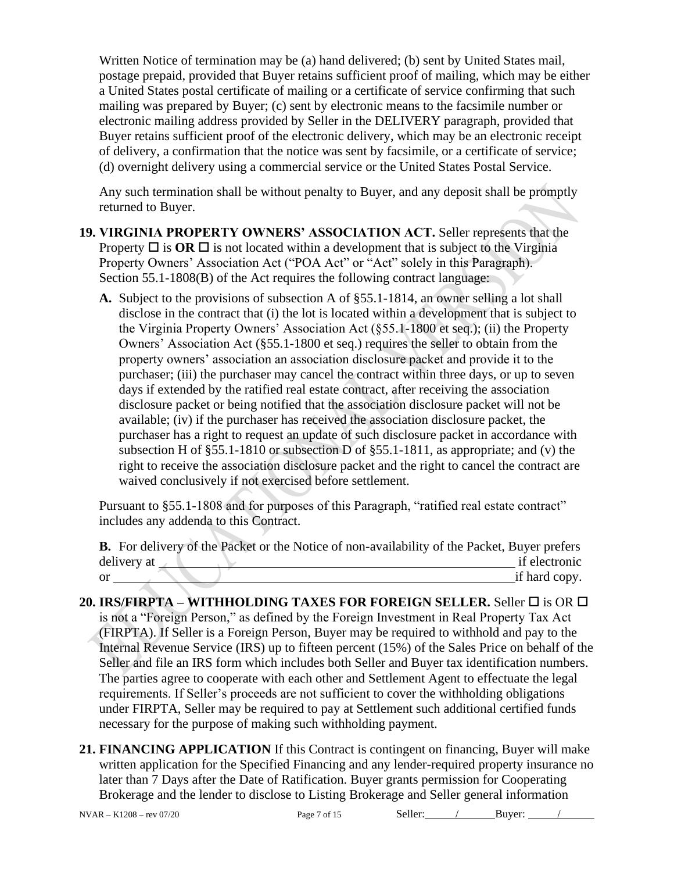Written Notice of termination may be (a) hand delivered; (b) sent by United States mail, postage prepaid, provided that Buyer retains sufficient proof of mailing, which may be either a United States postal certificate of mailing or a certificate of service confirming that such mailing was prepared by Buyer; (c) sent by electronic means to the facsimile number or electronic mailing address provided by Seller in the DELIVERY paragraph, provided that Buyer retains sufficient proof of the electronic delivery, which may be an electronic receipt of delivery, a confirmation that the notice was sent by facsimile, or a certificate of service; (d) overnight delivery using a commercial service or the United States Postal Service.

Any such termination shall be without penalty to Buyer, and any deposit shall be promptly returned to Buyer.

**19. VIRGINIA PROPERTY OWNERS' ASSOCIATION ACT.** Seller represents that the Property  $\Box$  is  $\overline{OR}$   $\Box$  is not located within a development that is subject to the Virginia Property Owners' Association Act ("POA Act" or "Act" solely in this Paragraph). Section 55.1-1808(B) of the Act requires the following contract language:

**A.** Subject to the provisions of subsection A of §55.1-1814, an owner selling a lot shall disclose in the contract that (i) the lot is located within a development that is subject to the Virginia Property Owners' Association Act (§55.1-1800 et seq.); (ii) the Property Owners' Association Act (§55.1-1800 et seq.) requires the seller to obtain from the property owners' association an association disclosure packet and provide it to the purchaser; (iii) the purchaser may cancel the contract within three days, or up to seven days if extended by the ratified real estate contract, after receiving the association disclosure packet or being notified that the association disclosure packet will not be available; (iv) if the purchaser has received the association disclosure packet, the purchaser has a right to request an update of such disclosure packet in accordance with subsection H of §55.1-1810 or subsection D of §55.1-1811, as appropriate; and (v) the right to receive the association disclosure packet and the right to cancel the contract are waived conclusively if not exercised before settlement.

Pursuant to §55.1-1808 and for purposes of this Paragraph, "ratified real estate contract" includes any addenda to this Contract.

|    | <b>B.</b> For delivery of the Packet or the Notice of non-availability of the Packet, Buyer prefers |               |
|----|-----------------------------------------------------------------------------------------------------|---------------|
|    | delivery at                                                                                         | if electronic |
| or |                                                                                                     | if hard copy. |

- **20. IRS/FIRPTA – WITHHOLDING TAXES FOR FOREIGN SELLER.** Seller is OR is not a "Foreign Person," as defined by the Foreign Investment in Real Property Tax Act (FIRPTA). If Seller is a Foreign Person, Buyer may be required to withhold and pay to the Internal Revenue Service (IRS) up to fifteen percent (15%) of the Sales Price on behalf of the Seller and file an IRS form which includes both Seller and Buyer tax identification numbers. The parties agree to cooperate with each other and Settlement Agent to effectuate the legal requirements. If Seller's proceeds are not sufficient to cover the withholding obligations under FIRPTA, Seller may be required to pay at Settlement such additional certified funds necessary for the purpose of making such withholding payment.
- **21. FINANCING APPLICATION** If this Contract is contingent on financing, Buyer will make written application for the Specified Financing and any lender-required property insurance no later than 7 Days after the Date of Ratification. Buyer grants permission for Cooperating Brokerage and the lender to disclose to Listing Brokerage and Seller general information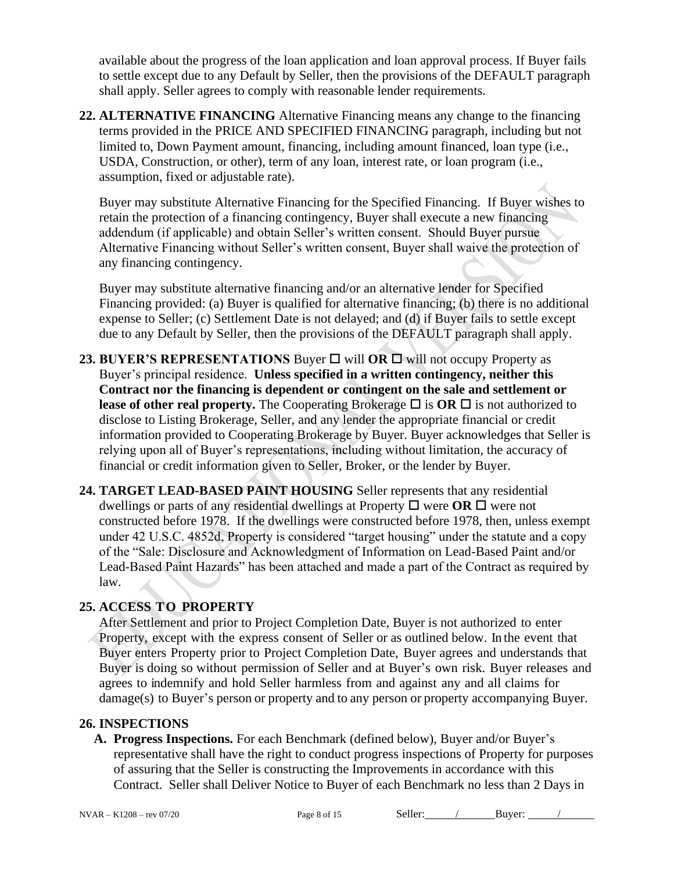available about the progress of the loan application and loan approval process. If Buyer fails to settle except due to any Default by Seller, then the provisions of the DEFAULT paragraph shall apply. Seller agrees to comply with reasonable lender requirements.

**22. ALTERNATIVE FINANCING** Alternative Financing means any change to the financing terms provided in the PRICE AND SPECIFIED FINANCING paragraph, including but not limited to, Down Payment amount, financing, including amount financed, loan type (i.e., USDA, Construction, or other), term of any loan, interest rate, or loan program (i.e., assumption, fixed or adjustable rate).

Buyer may substitute Alternative Financing for the Specified Financing. If Buyer wishes to retain the protection of a financing contingency, Buyer shall execute a new financing addendum (if applicable) and obtain Seller's written consent. Should Buyer pursue Alternative Financing without Seller's written consent, Buyer shall waive the protection of any financing contingency.

Buyer may substitute alternative financing and/or an alternative lender for Specified Financing provided: (a) Buyer is qualified for alternative financing; (b) there is no additional expense to Seller; (c) Settlement Date is not delayed; and (d) if Buyer fails to settle except due to any Default by Seller, then the provisions of the DEFAULT paragraph shall apply.

- **23. BUYER'S REPRESENTATIONS** Buyer  $\Box$  will OR  $\Box$  will not occupy Property as Buyer's principal residence. **Unless specified in a written contingency, neither this Contract nor the financing is dependent or contingent on the sale and settlement or lease of other real property.** The Cooperating Brokerage  $\Box$  is **OR**  $\Box$  is not authorized to disclose to Listing Brokerage, Seller, and any lender the appropriate financial or credit information provided to Cooperating Brokerage by Buyer. Buyer acknowledges that Seller is relying upon all of Buyer's representations, including without limitation, the accuracy of financial or credit information given to Seller, Broker, or the lender by Buyer.
- **24. TARGET LEAD-BASED PAINT HOUSING** Seller represents that any residential dwellings or parts of any residential dwellings at Property  $\Box$  were  $\Box \Box$  were not constructed before 1978. If the dwellings were constructed before 1978, then, unless exempt under 42 U.S.C. 4852d, Property is considered "target housing" under the statute and a copy of the "Sale: Disclosure and Acknowledgment of Information on Lead-Based Paint and/or Lead-Based Paint Hazards" has been attached and made a part of the Contract as required by law.

## **25. ACCESS TO PROPERTY**

After Settlement and prior to Project Completion Date, Buyer is not authorized to enter Property, except with the express consent of Seller or as outlined below. In the event that Buyer enters Property prior to Project Completion Date, Buyer agrees and understands that Buyer is doing so without permission of Seller and at Buyer's own risk. Buyer releases and agrees to indemnify and hold Seller harmless from and against any and all claims for damage(s) to Buyer's person or property and to any person or property accompanying Buyer.

#### **26. INSPECTIONS**

**A. Progress Inspections.** For each Benchmark (defined below), Buyer and/or Buyer's representative shall have the right to conduct progress inspections of Property for purposes of assuring that the Seller is constructing the Improvements in accordance with this Contract. Seller shall Deliver Notice to Buyer of each Benchmark no less than 2 Days in

NVAR – K1208 – rev 07/20 Page 8 of 15 Seller: / Buyer: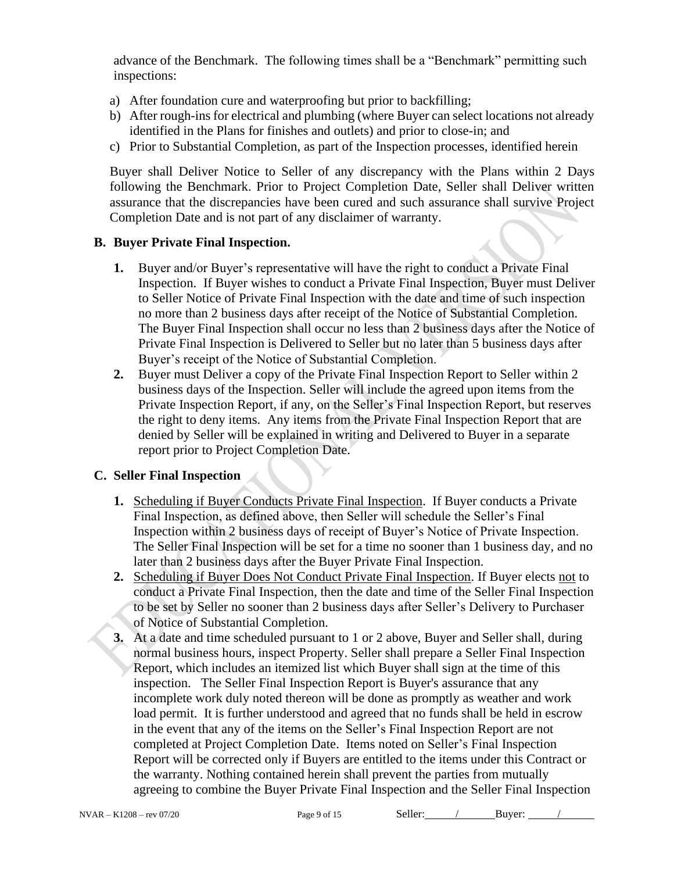advance of the Benchmark. The following times shall be a "Benchmark" permitting such inspections:

- a) After foundation cure and waterproofing but prior to backfilling;
- b) After rough-ins for electrical and plumbing (where Buyer can select locations not already identified in the Plans for finishes and outlets) and prior to close-in; and
- c) Prior to Substantial Completion, as part of the Inspection processes, identified herein

Buyer shall Deliver Notice to Seller of any discrepancy with the Plans within 2 Days following the Benchmark. Prior to Project Completion Date, Seller shall Deliver written assurance that the discrepancies have been cured and such assurance shall survive Project Completion Date and is not part of any disclaimer of warranty.

#### **B. Buyer Private Final Inspection.**

- **1.** Buyer and/or Buyer's representative will have the right to conduct a Private Final Inspection. If Buyer wishes to conduct a Private Final Inspection, Buyer must Deliver to Seller Notice of Private Final Inspection with the date and time of such inspection no more than 2 business days after receipt of the Notice of Substantial Completion. The Buyer Final Inspection shall occur no less than 2 business days after the Notice of Private Final Inspection is Delivered to Seller but no later than 5 business days after Buyer's receipt of the Notice of Substantial Completion.
- **2.** Buyer must Deliver a copy of the Private Final Inspection Report to Seller within 2 business days of the Inspection. Seller will include the agreed upon items from the Private Inspection Report, if any, on the Seller's Final Inspection Report, but reserves the right to deny items. Any items from the Private Final Inspection Report that are denied by Seller will be explained in writing and Delivered to Buyer in a separate report prior to Project Completion Date.

#### **C. Seller Final Inspection**

- **1.** Scheduling if Buyer Conducts Private Final Inspection. If Buyer conducts a Private Final Inspection, as defined above, then Seller will schedule the Seller's Final Inspection within 2 business days of receipt of Buyer's Notice of Private Inspection. The Seller Final Inspection will be set for a time no sooner than 1 business day, and no later than 2 business days after the Buyer Private Final Inspection.
- **2.** Scheduling if Buyer Does Not Conduct Private Final Inspection. If Buyer elects not to conduct a Private Final Inspection, then the date and time of the Seller Final Inspection to be set by Seller no sooner than 2 business days after Seller's Delivery to Purchaser of Notice of Substantial Completion.
- **3.** At a date and time scheduled pursuant to 1 or 2 above, Buyer and Seller shall, during normal business hours, inspect Property. Seller shall prepare a Seller Final Inspection Report, which includes an itemized list which Buyer shall sign at the time of this inspection. The Seller Final Inspection Report is Buyer's assurance that any incomplete work duly noted thereon will be done as promptly as weather and work load permit. It is further understood and agreed that no funds shall be held in escrow in the event that any of the items on the Seller's Final Inspection Report are not completed at Project Completion Date. Items noted on Seller's Final Inspection Report will be corrected only if Buyers are entitled to the items under this Contract or the warranty. Nothing contained herein shall prevent the parties from mutually agreeing to combine the Buyer Private Final Inspection and the Seller Final Inspection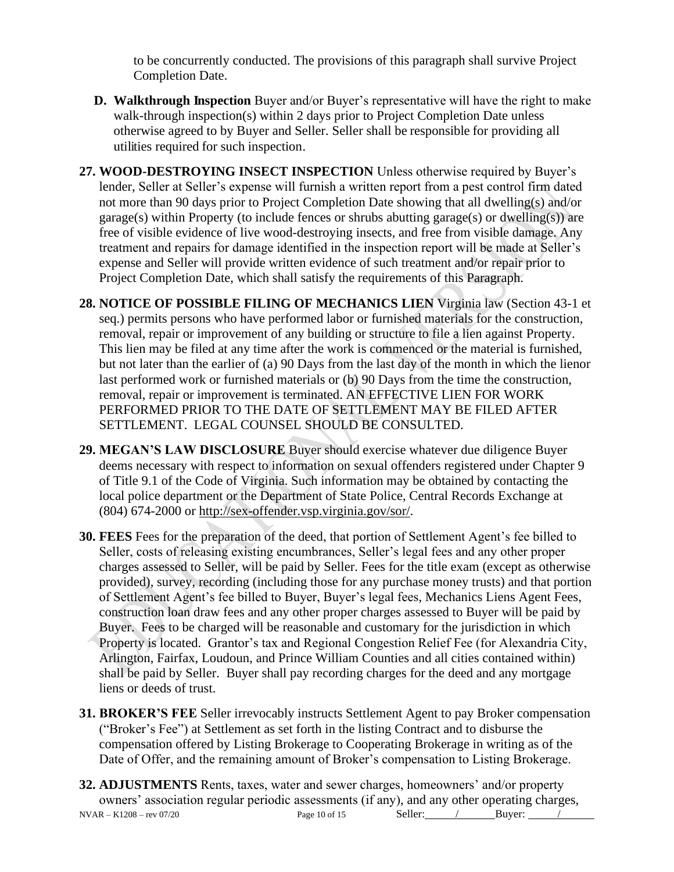to be concurrently conducted. The provisions of this paragraph shall survive Project Completion Date.

- **D. Walkthrough Inspection** Buyer and/or Buyer's representative will have the right to make walk-through inspection(s) within 2 days prior to Project Completion Date unless otherwise agreed to by Buyer and Seller. Seller shall be responsible for providing all utilities required for such inspection.
- **27. WOOD-DESTROYING INSECT INSPECTION** Unless otherwise required by Buyer's lender, Seller at Seller's expense will furnish a written report from a pest control firm dated not more than 90 days prior to Project Completion Date showing that all dwelling(s) and/or garage(s) within Property (to include fences or shrubs abutting garage(s) or dwelling(s)) are free of visible evidence of live wood-destroying insects, and free from visible damage. Any treatment and repairs for damage identified in the inspection report will be made at Seller's expense and Seller will provide written evidence of such treatment and/or repair prior to Project Completion Date, which shall satisfy the requirements of this Paragraph.
- **28. NOTICE OF POSSIBLE FILING OF MECHANICS LIEN** Virginia law (Section 43-1 et seq.) permits persons who have performed labor or furnished materials for the construction, removal, repair or improvement of any building or structure to file a lien against Property. This lien may be filed at any time after the work is commenced or the material is furnished, but not later than the earlier of (a) 90 Days from the last day of the month in which the lienor last performed work or furnished materials or (b) 90 Days from the time the construction, removal, repair or improvement is terminated. AN EFFECTIVE LIEN FOR WORK PERFORMED PRIOR TO THE DATE OF SETTLEMENT MAY BE FILED AFTER SETTLEMENT. LEGAL COUNSEL SHOULD BE CONSULTED.
- **29. MEGAN'S LAW DISCLOSURE** Buyer should exercise whatever due diligence Buyer deems necessary with respect to information on sexual offenders registered under Chapter 9 of Title 9.1 of the Code of Virginia. Such information may be obtained by contacting the local police department or the Department of State Police, Central Records Exchange at (804) 674-2000 or http://sex-offender.vsp.virginia.gov/sor/.
- **30. FEES** Fees for the preparation of the deed, that portion of Settlement Agent's fee billed to Seller, costs of releasing existing encumbrances, Seller's legal fees and any other proper charges assessed to Seller, will be paid by Seller. Fees for the title exam (except as otherwise provided), survey, recording (including those for any purchase money trusts) and that portion of Settlement Agent's fee billed to Buyer, Buyer's legal fees, Mechanics Liens Agent Fees, construction loan draw fees and any other proper charges assessed to Buyer will be paid by Buyer. Fees to be charged will be reasonable and customary for the jurisdiction in which Property is located. Grantor's tax and Regional Congestion Relief Fee (for Alexandria City, Arlington, Fairfax, Loudoun, and Prince William Counties and all cities contained within) shall be paid by Seller. Buyer shall pay recording charges for the deed and any mortgage liens or deeds of trust.
- **31. BROKER'S FEE** Seller irrevocably instructs Settlement Agent to pay Broker compensation ("Broker's Fee") at Settlement as set forth in the listing Contract and to disburse the compensation offered by Listing Brokerage to Cooperating Brokerage in writing as of the Date of Offer, and the remaining amount of Broker's compensation to Listing Brokerage.
- $NVAR K1208 rev 07/20$  Page 10 of 15 Seller: / Buyer: / **32. ADJUSTMENTS** Rents, taxes, water and sewer charges, homeowners' and/or property owners' association regular periodic assessments (if any), and any other operating charges,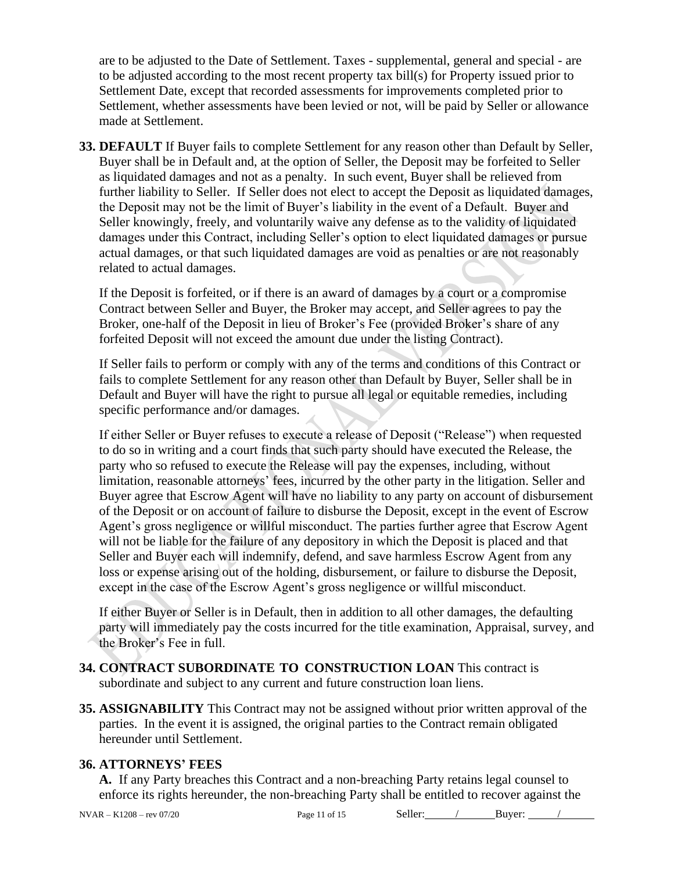are to be adjusted to the Date of Settlement. Taxes - supplemental, general and special - are to be adjusted according to the most recent property tax bill(s) for Property issued prior to Settlement Date, except that recorded assessments for improvements completed prior to Settlement, whether assessments have been levied or not, will be paid by Seller or allowance made at Settlement.

**33. DEFAULT** If Buyer fails to complete Settlement for any reason other than Default by Seller, Buyer shall be in Default and, at the option of Seller, the Deposit may be forfeited to Seller as liquidated damages and not as a penalty. In such event, Buyer shall be relieved from further liability to Seller. If Seller does not elect to accept the Deposit as liquidated damages, the Deposit may not be the limit of Buyer's liability in the event of a Default. Buyer and Seller knowingly, freely, and voluntarily waive any defense as to the validity of liquidated damages under this Contract, including Seller's option to elect liquidated damages or pursue actual damages, or that such liquidated damages are void as penalties or are not reasonably related to actual damages.

If the Deposit is forfeited, or if there is an award of damages by a court or a compromise Contract between Seller and Buyer, the Broker may accept, and Seller agrees to pay the Broker, one-half of the Deposit in lieu of Broker's Fee (provided Broker's share of any forfeited Deposit will not exceed the amount due under the listing Contract).

If Seller fails to perform or comply with any of the terms and conditions of this Contract or fails to complete Settlement for any reason other than Default by Buyer, Seller shall be in Default and Buyer will have the right to pursue all legal or equitable remedies, including specific performance and/or damages.

If either Seller or Buyer refuses to execute a release of Deposit ("Release") when requested to do so in writing and a court finds that such party should have executed the Release, the party who so refused to execute the Release will pay the expenses, including, without limitation, reasonable attorneys' fees, incurred by the other party in the litigation. Seller and Buyer agree that Escrow Agent will have no liability to any party on account of disbursement of the Deposit or on account of failure to disburse the Deposit, except in the event of Escrow Agent's gross negligence or willful misconduct. The parties further agree that Escrow Agent will not be liable for the failure of any depository in which the Deposit is placed and that Seller and Buyer each will indemnify, defend, and save harmless Escrow Agent from any loss or expense arising out of the holding, disbursement, or failure to disburse the Deposit, except in the case of the Escrow Agent's gross negligence or willful misconduct.

If either Buyer or Seller is in Default, then in addition to all other damages, the defaulting party will immediately pay the costs incurred for the title examination, Appraisal, survey, and the Broker's Fee in full.

- **34. CONTRACT SUBORDINATE TO CONSTRUCTION LOAN** This contract is subordinate and subject to any current and future construction loan liens.
- **35. ASSIGNABILITY** This Contract may not be assigned without prior written approval of the parties. In the event it is assigned, the original parties to the Contract remain obligated hereunder until Settlement.

## **36. ATTORNEYS' FEES**

**A.** If any Party breaches this Contract and a non-breaching Party retains legal counsel to enforce its rights hereunder, the non-breaching Party shall be entitled to recover against the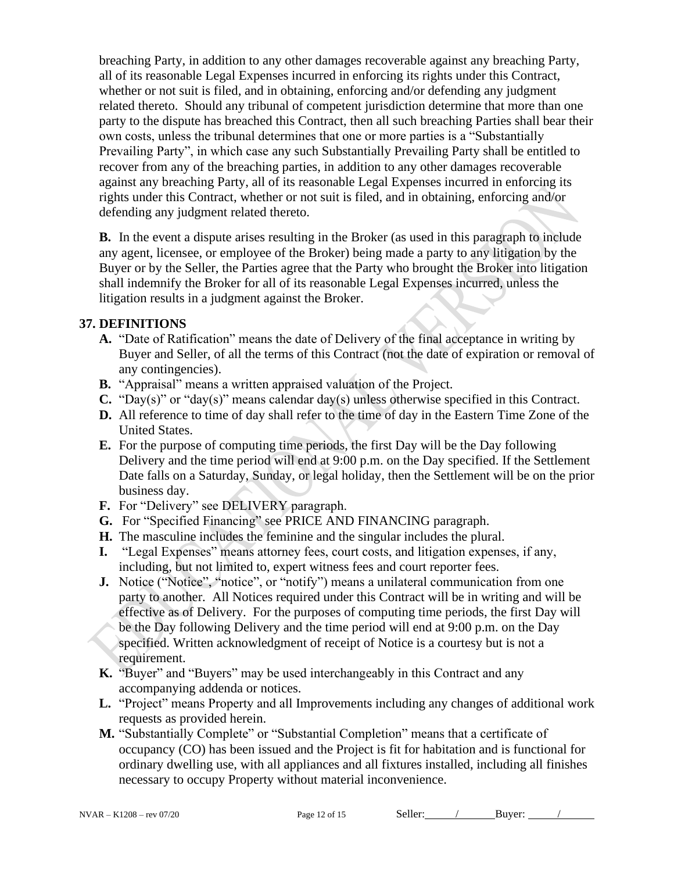breaching Party, in addition to any other damages recoverable against any breaching Party, all of its reasonable Legal Expenses incurred in enforcing its rights under this Contract, whether or not suit is filed, and in obtaining, enforcing and/or defending any judgment related thereto. Should any tribunal of competent jurisdiction determine that more than one party to the dispute has breached this Contract, then all such breaching Parties shall bear their own costs, unless the tribunal determines that one or more parties is a "Substantially Prevailing Party", in which case any such Substantially Prevailing Party shall be entitled to recover from any of the breaching parties, in addition to any other damages recoverable against any breaching Party, all of its reasonable Legal Expenses incurred in enforcing its rights under this Contract, whether or not suit is filed, and in obtaining, enforcing and/or defending any judgment related thereto.

**B.** In the event a dispute arises resulting in the Broker (as used in this paragraph to include any agent, licensee, or employee of the Broker) being made a party to any litigation by the Buyer or by the Seller, the Parties agree that the Party who brought the Broker into litigation shall indemnify the Broker for all of its reasonable Legal Expenses incurred, unless the litigation results in a judgment against the Broker.

## **37. DEFINITIONS**

- **A.** "Date of Ratification" means the date of Delivery of the final acceptance in writing by Buyer and Seller, of all the terms of this Contract (not the date of expiration or removal of any contingencies).
- **B.** "Appraisal" means a written appraised valuation of the Project.
- **C.** "Day(s)" or "day(s)" means calendar day(s) unless otherwise specified in this Contract.
- **D.** All reference to time of day shall refer to the time of day in the Eastern Time Zone of the United States.
- **E.** For the purpose of computing time periods, the first Day will be the Day following Delivery and the time period will end at 9:00 p.m. on the Day specified. If the Settlement Date falls on a Saturday, Sunday, or legal holiday, then the Settlement will be on the prior business day.
- **F.** For "Delivery" see DELIVERY paragraph.
- **G.** For "Specified Financing" see PRICE AND FINANCING paragraph.
- **H.** The masculine includes the feminine and the singular includes the plural.
- **I.** "Legal Expenses" means attorney fees, court costs, and litigation expenses, if any, including, but not limited to, expert witness fees and court reporter fees.
- **J.** Notice ("Notice", "notice", or "notify") means a unilateral communication from one party to another. All Notices required under this Contract will be in writing and will be effective as of Delivery. For the purposes of computing time periods, the first Day will be the Day following Delivery and the time period will end at 9:00 p.m. on the Day specified. Written acknowledgment of receipt of Notice is a courtesy but is not a requirement.
- **K.** "Buyer" and "Buyers" may be used interchangeably in this Contract and any accompanying addenda or notices.
- **L.** "Project" means Property and all Improvements including any changes of additional work requests as provided herein.
- **M.** "Substantially Complete" or "Substantial Completion" means that a certificate of occupancy (CO) has been issued and the Project is fit for habitation and is functional for ordinary dwelling use, with all appliances and all fixtures installed, including all finishes necessary to occupy Property without material inconvenience.

NVAR – K1208 – rev 07/20 Page 12 of 15 Seller: / Buyer: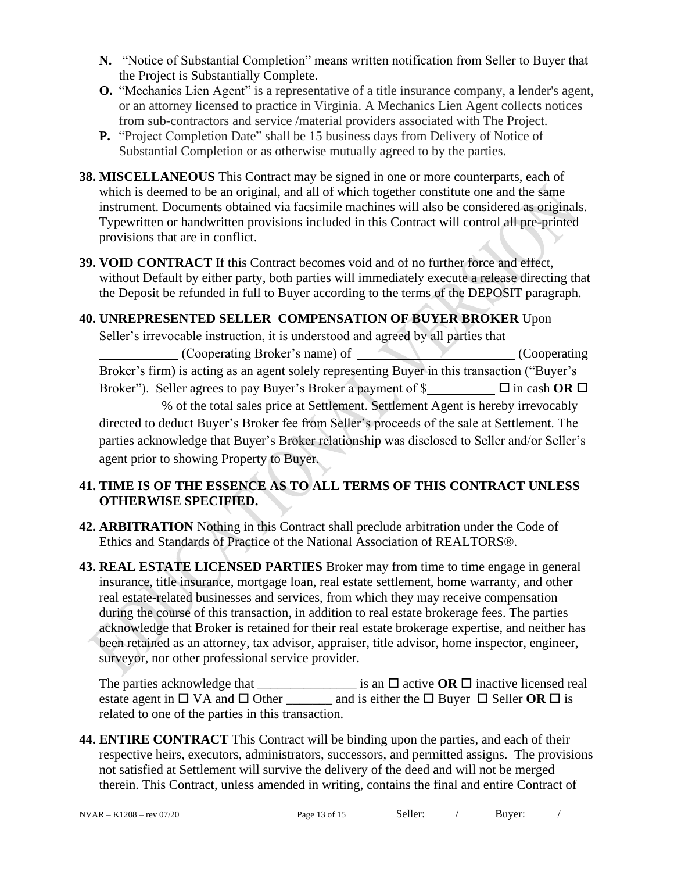- **N.** "Notice of Substantial Completion" means written notification from Seller to Buyer that the Project is Substantially Complete.
- **O.** "Mechanics Lien Agent" is a representative of a title insurance company, a lender's agent, or an attorney licensed to practice in Virginia. A Mechanics Lien Agent collects notices from sub-contractors and service /material providers associated with The Project.
- **P.** "Project Completion Date" shall be 15 business days from Delivery of Notice of Substantial Completion or as otherwise mutually agreed to by the parties.
- **38. MISCELLANEOUS** This Contract may be signed in one or more counterparts, each of which is deemed to be an original, and all of which together constitute one and the same instrument. Documents obtained via facsimile machines will also be considered as originals. Typewritten or handwritten provisions included in this Contract will control all pre-printed provisions that are in conflict.
- **39. VOID CONTRACT** If this Contract becomes void and of no further force and effect, without Default by either party, both parties will immediately execute a release directing that the Deposit be refunded in full to Buyer according to the terms of the DEPOSIT paragraph.

## **40. UNREPRESENTED SELLER COMPENSATION OF BUYER BROKER** Upon

Seller's irrevocable instruction, it is understood and agreed by all parties that (Cooperating Broker's name) of (Cooperating (Cooperating Broker's firm) is acting as an agent solely representing Buyer in this transaction ("Buyer's Broker"). Seller agrees to pay Buyer's Broker a payment of \$<br>  $\Box$   $\Box$  in cash **OR**  $\Box$ **Example 26 Settlement.** Settlement Agent is hereby irrevocably directed to deduct Buyer's Broker fee from Seller's proceeds of the sale at Settlement. The parties acknowledge that Buyer's Broker relationship was disclosed to Seller and/or Seller's agent prior to showing Property to Buyer.

## **41. TIME IS OF THE ESSENCE AS TO ALL TERMS OF THIS CONTRACT UNLESS OTHERWISE SPECIFIED.**

- **42. ARBITRATION** Nothing in this Contract shall preclude arbitration under the Code of Ethics and Standards of Practice of the National Association of REALTORS®.
- **43. REAL ESTATE LICENSED PARTIES** Broker may from time to time engage in general insurance, title insurance, mortgage loan, real estate settlement, home warranty, and other real estate-related businesses and services, from which they may receive compensation during the course of this transaction, in addition to real estate brokerage fees. The parties acknowledge that Broker is retained for their real estate brokerage expertise, and neither has been retained as an attorney, tax advisor, appraiser, title advisor, home inspector, engineer, surveyor, nor other professional service provider.

The parties acknowledge that  $\frac{1}{\sqrt{2}}$  is an  $\Box$  active **OR**  $\Box$  inactive licensed real estate agent in  $\Box$  VA and  $\Box$  Other and is either the  $\Box$  Buyer  $\Box$  Seller **OR**  $\Box$  is related to one of the parties in this transaction.

**44. ENTIRE CONTRACT** This Contract will be binding upon the parties, and each of their respective heirs, executors, administrators, successors, and permitted assigns. The provisions not satisfied at Settlement will survive the delivery of the deed and will not be merged therein. This Contract, unless amended in writing, contains the final and entire Contract of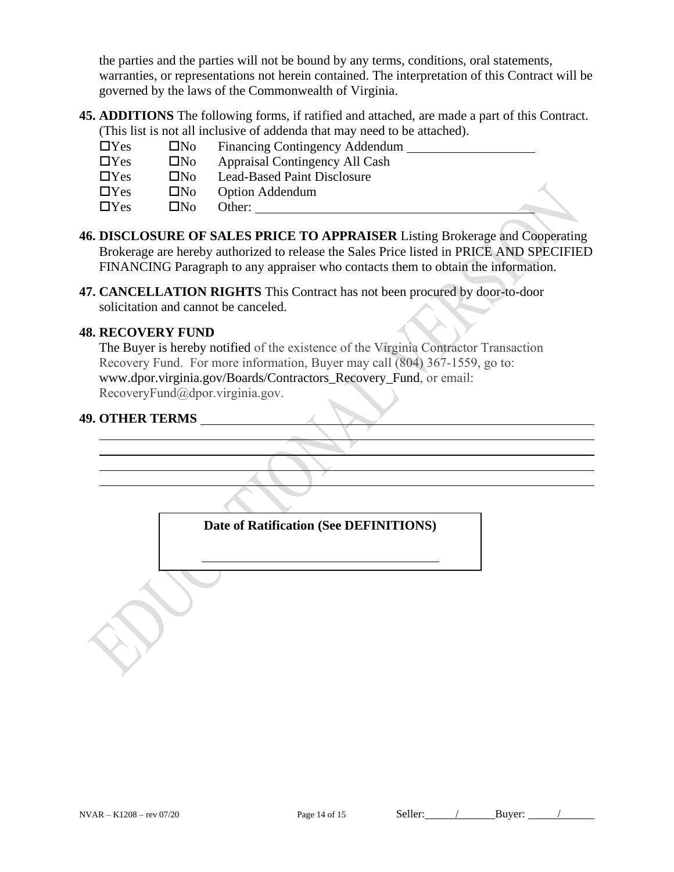the parties and the parties will not be bound by any terms, conditions, oral statements, warranties, or representations not herein contained. The interpretation of this Contract will be governed by the laws of the Commonwealth of Virginia.

**45. ADDITIONS** The following forms, if ratified and attached, are made a part of this Contract. (This list is not all inclusive of addenda that may need to be attached).

| $\Box$ Yes | $\Box$ No | <b>Financing Contingency Addendum</b> |  |
|------------|-----------|---------------------------------------|--|
| $\Box$ Yes | $\Box$ No | Appraisal Contingency All Cash        |  |
| $\Box$ Yes | ∐No.      | <b>Lead-Based Paint Disclosure</b>    |  |
| $\Box$ Yes | $\Box$ No | <b>Option Addendum</b>                |  |
| $\Box$ Yes | ΠN∩       | Other:                                |  |

- **46. DISCLOSURE OF SALES PRICE TO APPRAISER** Listing Brokerage and Cooperating Brokerage are hereby authorized to release the Sales Price listed in PRICE AND SPECIFIED FINANCING Paragraph to any appraiser who contacts them to obtain the information.
- **47. CANCELLATION RIGHTS** This Contract has not been procured by door-to-door solicitation and cannot be canceled.

### **48. RECOVERY FUND**

The Buyer is hereby notified of the existence of the Virginia Contractor Transaction Recovery Fund. For more information, Buyer may call (804) 367-1559, go to: [www.dpor.virginia.gov/Boards/Contractors\\_Recovery\\_Fund](http://www.dpor.virginia.gov/Boards/Contractors_Recovery_Fund), or email: RecoveryFund@dpor.virginia.gov.

## **49. OTHER TERMS**